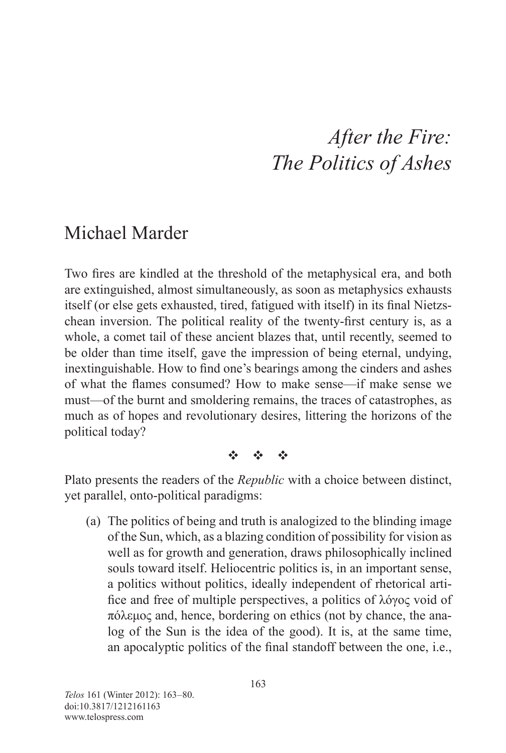# *After the Fire: The Politics of Ashes*

## Michael Marder

Two fires are kindled at the threshold of the metaphysical era, and both are extinguished, almost simultaneously, as soon as metaphysics exhausts itself (or else gets exhausted, tired, fatigued with itself) in its final Nietzschean inversion. The political reality of the twenty-first century is, as a whole, a comet tail of these ancient blazes that, until recently, seemed to be older than time itself, gave the impression of being eternal, undying, inextinguishable. How to find one's bearings among the cinders and ashes of what the flames consumed? How to make sense—if make sense we must—of the burnt and smoldering remains, the traces of catastrophes, as much as of hopes and revolutionary desires, littering the horizons of the political today?

v v v

Plato presents the readers of the *Republic* with a choice between distinct, yet parallel, onto-political paradigms:

(a) The politics of being and truth is analogized to the blinding image of the Sun, which, as a blazing condition of possibility for vision as well as for growth and generation, draws philosophically inclined souls toward itself. Heliocentric politics is, in an important sense, a politics without politics, ideally independent of rhetorical artifice and free of multiple perspectives, a politics of λόγος void of πόλεμος and, hence, bordering on ethics (not by chance, the analog of the Sun is the idea of the good). It is, at the same time, an apocalyptic politics of the final standoff between the one, i.e.,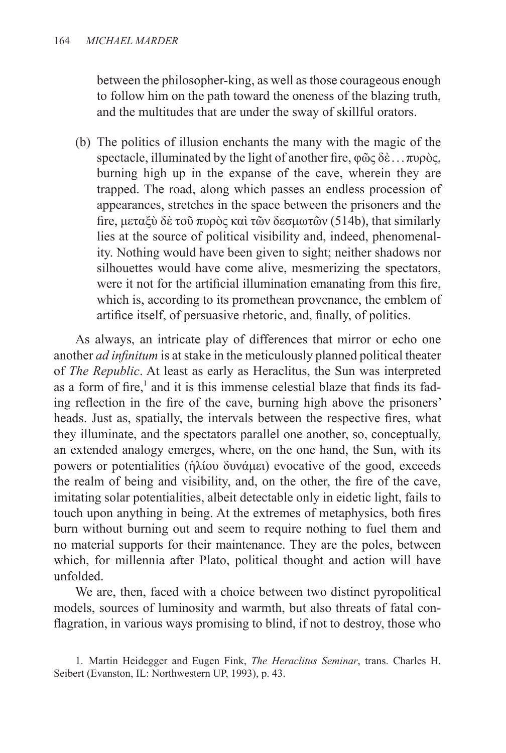between the philosopher-king, as well as those courageous enough to follow him on the path toward the oneness of the blazing truth, and the multitudes that are under the sway of skillful orators.

(b) The politics of illusion enchants the many with the magic of the spectacle, illuminated by the light of another fire,  $\phi \tilde{\omega} \zeta \delta \tilde{\varepsilon} \dots \pi \nu \rho \delta \zeta$ , burning high up in the expanse of the cave, wherein they are trapped. The road, along which passes an endless procession of appearances, stretches in the space between the prisoners and the fire, μεταξὺ δὲ τοῦ πυρὸς καὶ τῶν δεσμωτῶν (514b), that similarly lies at the source of political visibility and, indeed, phenomenality. Nothing would have been given to sight; neither shadows nor silhouettes would have come alive, mesmerizing the spectators, were it not for the artificial illumination emanating from this fire, which is, according to its promethean provenance, the emblem of artifice itself, of persuasive rhetoric, and, finally, of politics.

As always, an intricate play of differences that mirror or echo one another *ad infinitum* is at stake in the meticulously planned political theater of *The Republic*. At least as early as Heraclitus, the Sun was interpreted as a form of fire, $<sup>1</sup>$  and it is this immense celestial blaze that finds its fad-</sup> ing reflection in the fire of the cave, burning high above the prisoners' heads. Just as, spatially, the intervals between the respective fires, what they illuminate, and the spectators parallel one another, so, conceptually, an extended analogy emerges, where, on the one hand, the Sun, with its powers or potentialities (ἡλίου δυνάμει) evocative of the good, exceeds the realm of being and visibility, and, on the other, the fire of the cave, imitating solar potentialities, albeit detectable only in eidetic light, fails to touch upon anything in being. At the extremes of metaphysics, both fires burn without burning out and seem to require nothing to fuel them and no material supports for their maintenance. They are the poles, between which, for millennia after Plato, political thought and action will have unfolded.

We are, then, faced with a choice between two distinct pyropolitical models, sources of luminosity and warmth, but also threats of fatal conflagration, in various ways promising to blind, if not to destroy, those who

<sup>1.</sup> Martin Heidegger and Eugen Fink, *The Heraclitus Seminar*, trans. Charles H. Seibert (Evanston, IL: Northwestern UP, 1993), p. 43.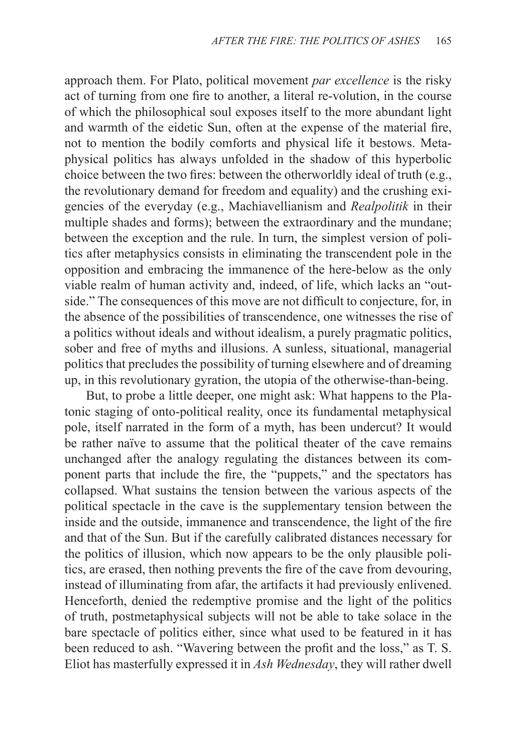approach them. For Plato, political movement *par excellence* is the risky act of turning from one fire to another, a literal re-volution, in the course of which the philosophical soul exposes itself to the more abundant light and warmth of the eidetic Sun, often at the expense of the material fire, not to mention the bodily comforts and physical life it bestows. Metaphysical politics has always unfolded in the shadow of this hyperbolic choice between the two fires: between the otherworldly ideal of truth (e.g., the revolutionary demand for freedom and equality) and the crushing exigencies of the everyday (e.g., Machiavellianism and *Realpolitik* in their multiple shades and forms); between the extraordinary and the mundane; between the exception and the rule. In turn, the simplest version of politics after metaphysics consists in eliminating the transcendent pole in the opposition and embracing the immanence of the here-below as the only viable realm of human activity and, indeed, of life, which lacks an "outside." The consequences of this move are not difficult to conjecture, for, in the absence of the possibilities of transcendence, one witnesses the rise of a politics without ideals and without idealism, a purely pragmatic politics, sober and free of myths and illusions. A sunless, situational, managerial politics that precludes the possibility of turning elsewhere and of dreaming up, in this revolutionary gyration, the utopia of the otherwise-than-being.

But, to probe a little deeper, one might ask: What happens to the Platonic staging of onto-political reality, once its fundamental metaphysical pole, itself narrated in the form of a myth, has been undercut? It would be rather naïve to assume that the political theater of the cave remains unchanged after the analogy regulating the distances between its component parts that include the fire, the "puppets," and the spectators has collapsed. What sustains the tension between the various aspects of the political spectacle in the cave is the supplementary tension between the inside and the outside, immanence and transcendence, the light of the fire and that of the Sun. But if the carefully calibrated distances necessary for the politics of illusion, which now appears to be the only plausible politics, are erased, then nothing prevents the fire of the cave from devouring, instead of illuminating from afar, the artifacts it had previously enlivened. Henceforth, denied the redemptive promise and the light of the politics of truth, postmetaphysical subjects will not be able to take solace in the bare spectacle of politics either, since what used to be featured in it has been reduced to ash. "Wavering between the profit and the loss," as T. S. Eliot has masterfully expressed it in *Ash Wednesday*, they will rather dwell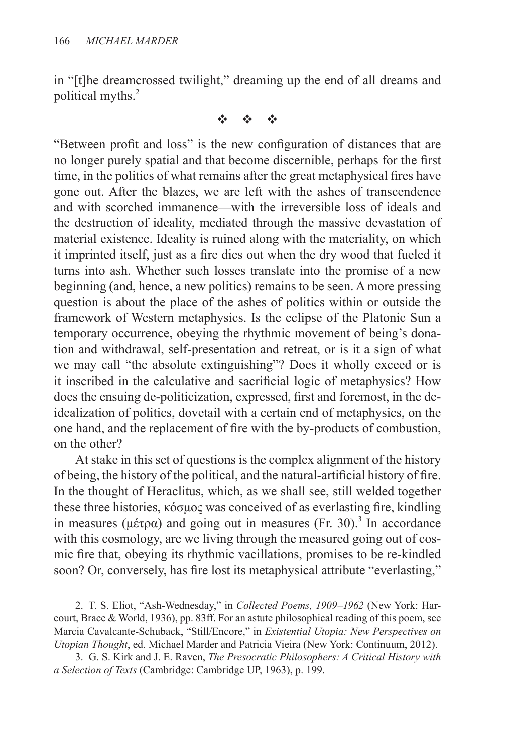in "[t]he dreamcrossed twilight," dreaming up the end of all dreams and political myths.<sup>2</sup>

### v v v

"Between profit and loss" is the new configuration of distances that are no longer purely spatial and that become discernible, perhaps for the first time, in the politics of what remains after the great metaphysical fires have gone out. After the blazes, we are left with the ashes of transcendence and with scorched immanence—with the irreversible loss of ideals and the destruction of ideality, mediated through the massive devastation of material existence. Ideality is ruined along with the materiality, on which it imprinted itself, just as a fire dies out when the dry wood that fueled it turns into ash. Whether such losses translate into the promise of a new beginning (and, hence, a new politics) remains to be seen. A more pressing question is about the place of the ashes of politics within or outside the framework of Western metaphysics. Is the eclipse of the Platonic Sun a temporary occurrence, obeying the rhythmic movement of being's donation and withdrawal, self-presentation and retreat, or is it a sign of what we may call "the absolute extinguishing"? Does it wholly exceed or is it inscribed in the calculative and sacrificial logic of metaphysics? How does the ensuing de-politicization, expressed, first and foremost, in the deidealization of politics, dovetail with a certain end of metaphysics, on the one hand, and the replacement of fire with the by-products of combustion, on the other?

At stake in this set of questions is the complex alignment of the history of being, the history of the political, and the natural-artificial history of fire. In the thought of Heraclitus, which, as we shall see, still welded together these three histories, κόσμος was conceived of as everlasting fire, kindling in measures (μέτρα) and going out in measures (Fr. 30).<sup>3</sup> In accordance with this cosmology, are we living through the measured going out of cosmic fire that, obeying its rhythmic vacillations, promises to be re-kindled soon? Or, conversely, has fire lost its metaphysical attribute "everlasting,"

2. T. S. Eliot, "Ash-Wednesday," in *Collected Poems, 1909–1962* (New York: Harcourt, Brace & World, 1936), pp. 83ff. For an astute philosophical reading of this poem, see Marcia Cavalcante-Schuback, "Still/Encore," in *Existential Utopia: New Perspectives on Utopian Thought*, ed. Michael Marder and Patricia Vieira (New York: Continuum, 2012).

3. G. S. Kirk and J. E. Raven, *The Presocratic Philosophers: A Critical History with a Selection of Texts* (Cambridge: Cambridge UP, 1963), p. 199.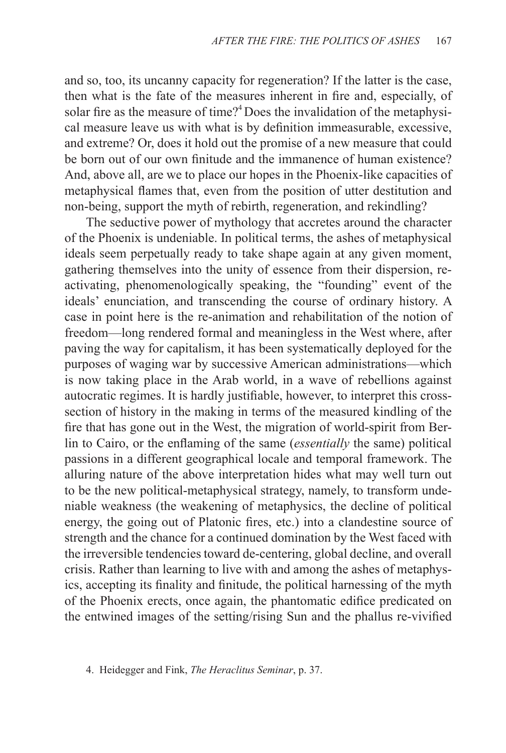and so, too, its uncanny capacity for regeneration? If the latter is the case, then what is the fate of the measures inherent in fire and, especially, of solar fire as the measure of time?<sup>4</sup> Does the invalidation of the metaphysical measure leave us with what is by definition immeasurable, excessive, and extreme? Or, does it hold out the promise of a new measure that could be born out of our own finitude and the immanence of human existence? And, above all, are we to place our hopes in the Phoenix-like capacities of metaphysical flames that, even from the position of utter destitution and non-being, support the myth of rebirth, regeneration, and rekindling?

The seductive power of mythology that accretes around the character of the Phoenix is undeniable. In political terms, the ashes of metaphysical ideals seem perpetually ready to take shape again at any given moment, gathering themselves into the unity of essence from their dispersion, reactivating, phenomenologically speaking, the "founding" event of the ideals' enunciation, and transcending the course of ordinary history. A case in point here is the re-animation and rehabilitation of the notion of freedom—long rendered formal and meaningless in the West where, after paving the way for capitalism, it has been systematically deployed for the purposes of waging war by successive American administrations—which is now taking place in the Arab world, in a wave of rebellions against autocratic regimes. It is hardly justifiable, however, to interpret this crosssection of history in the making in terms of the measured kindling of the fire that has gone out in the West, the migration of world-spirit from Berlin to Cairo, or the enflaming of the same (*essentially* the same) political passions in a different geographical locale and temporal framework. The alluring nature of the above interpretation hides what may well turn out to be the new political-metaphysical strategy, namely, to transform undeniable weakness (the weakening of metaphysics, the decline of political energy, the going out of Platonic fires, etc.) into a clandestine source of strength and the chance for a continued domination by the West faced with the irreversible tendencies toward de-centering, global decline, and overall crisis. Rather than learning to live with and among the ashes of metaphysics, accepting its finality and finitude, the political harnessing of the myth of the Phoenix erects, once again, the phantomatic edifice predicated on the entwined images of the setting/rising Sun and the phallus re-vivified

<sup>4.</sup> Heidegger and Fink, *The Heraclitus Seminar*, p. 37.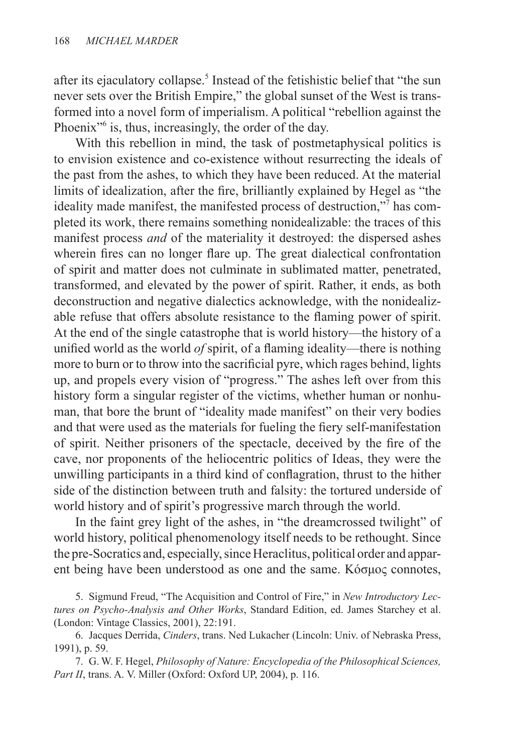after its ejaculatory collapse.<sup>5</sup> Instead of the fetishistic belief that "the sun never sets over the British Empire," the global sunset of the West is transformed into a novel form of imperialism. A political "rebellion against the Phoenix<sup>16</sup> is, thus, increasingly, the order of the day.

With this rebellion in mind, the task of postmetaphysical politics is to envision existence and co-existence without resurrecting the ideals of the past from the ashes, to which they have been reduced. At the material limits of idealization, after the fire, brilliantly explained by Hegel as "the ideality made manifest, the manifested process of destruction,"<sup>7</sup> has completed its work, there remains something nonidealizable: the traces of this manifest process *and* of the materiality it destroyed: the dispersed ashes wherein fires can no longer flare up. The great dialectical confrontation of spirit and matter does not culminate in sublimated matter, penetrated, transformed, and elevated by the power of spirit. Rather, it ends, as both deconstruction and negative dialectics acknowledge, with the nonidealizable refuse that offers absolute resistance to the flaming power of spirit. At the end of the single catastrophe that is world history—the history of a unified world as the world *of* spirit, of a flaming ideality—there is nothing more to burn or to throw into the sacrificial pyre, which rages behind, lights up, and propels every vision of "progress." The ashes left over from this history form a singular register of the victims, whether human or nonhuman, that bore the brunt of "ideality made manifest" on their very bodies and that were used as the materials for fueling the fiery self-manifestation of spirit. Neither prisoners of the spectacle, deceived by the fire of the cave, nor proponents of the heliocentric politics of Ideas, they were the unwilling participants in a third kind of conflagration, thrust to the hither side of the distinction between truth and falsity: the tortured underside of world history and of spirit's progressive march through the world.

In the faint grey light of the ashes, in "the dreamcrossed twilight" of world history, political phenomenology itself needs to be rethought. Since the pre-Socratics and, especially, since Heraclitus, political order and apparent being have been understood as one and the same. Kόσμος connotes,

5. Sigmund Freud, "The Acquisition and Control of Fire," in *New Introductory Lectures on Psycho-Analysis and Other Works*, Standard Edition, ed. James Starchey et al. (London: Vintage Classics, 2001), 22:191.

6. Jacques Derrida, *Cinders*, trans. Ned Lukacher (Lincoln: Univ. of Nebraska Press, 1991), p. 59.

7. G. W. F. Hegel, *Philosophy of Nature: Encyclopedia of the Philosophical Sciences,*  Part II, trans. A. V. Miller (Oxford: Oxford UP, 2004), p. 116.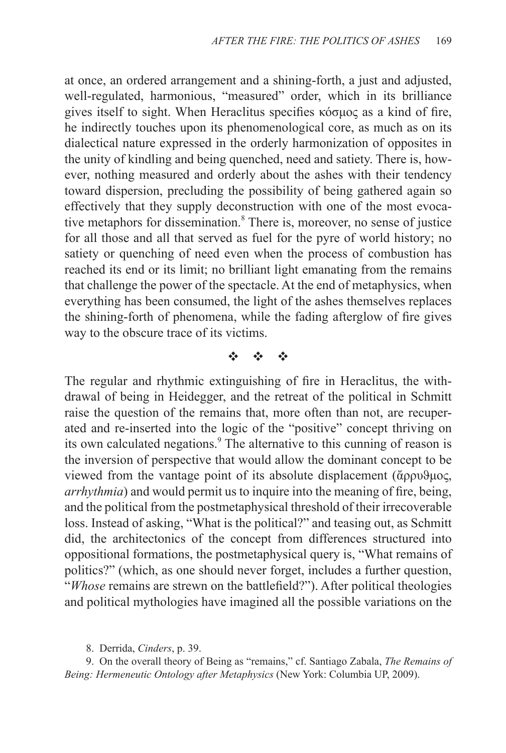at once, an ordered arrangement and a shining-forth, a just and adjusted, well-regulated, harmonious, "measured" order, which in its brilliance gives itself to sight. When Heraclitus specifies κόσμος as a kind of fire, he indirectly touches upon its phenomenological core, as much as on its dialectical nature expressed in the orderly harmonization of opposites in the unity of kindling and being quenched, need and satiety. There is, however, nothing measured and orderly about the ashes with their tendency toward dispersion, precluding the possibility of being gathered again so effectively that they supply deconstruction with one of the most evocative metaphors for dissemination.<sup>8</sup> There is, moreover, no sense of justice for all those and all that served as fuel for the pyre of world history; no satiety or quenching of need even when the process of combustion has reached its end or its limit; no brilliant light emanating from the remains that challenge the power of the spectacle. At the end of metaphysics, when everything has been consumed, the light of the ashes themselves replaces the shining-forth of phenomena, while the fading afterglow of fire gives way to the obscure trace of its victims.

v v v

The regular and rhythmic extinguishing of fire in Heraclitus, the withdrawal of being in Heidegger, and the retreat of the political in Schmitt raise the question of the remains that, more often than not, are recuperated and re-inserted into the logic of the "positive" concept thriving on its own calculated negations.<sup>9</sup> The alternative to this cunning of reason is the inversion of perspective that would allow the dominant concept to be viewed from the vantage point of its absolute displacement (ἄρρυϑμος, *arrhythmia*) and would permit us to inquire into the meaning of fire, being, and the political from the postmetaphysical threshold of their irrecoverable loss. Instead of asking, "What is the political?" and teasing out, as Schmitt did, the architectonics of the concept from differences structured into oppositional formations, the postmetaphysical query is, "What remains of politics?" (which, as one should never forget, includes a further question, "*Whose* remains are strewn on the battlefield?"). After political theologies and political mythologies have imagined all the possible variations on the

9. On the overall theory of Being as "remains," cf. Santiago Zabala, *The Remains of Being: Hermeneutic Ontology after Metaphysics* (New York: Columbia UP, 2009).

<sup>8.</sup> Derrida, *Cinders*, p. 39.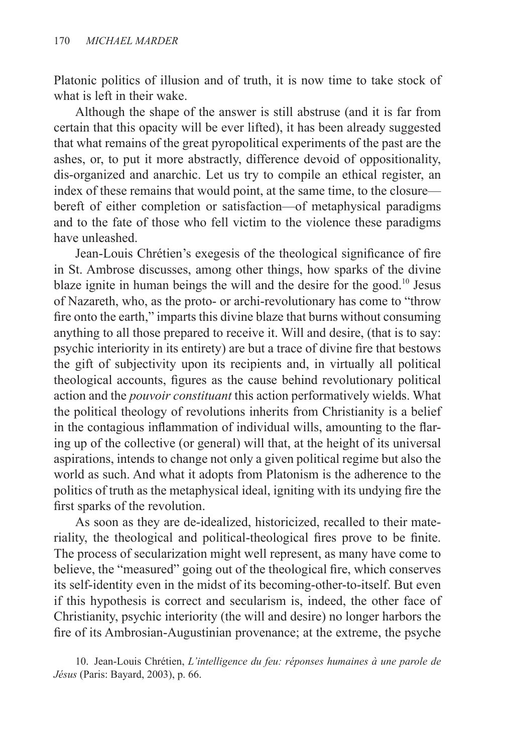Platonic politics of illusion and of truth, it is now time to take stock of what is left in their wake.

Although the shape of the answer is still abstruse (and it is far from certain that this opacity will be ever lifted), it has been already suggested that what remains of the great pyropolitical experiments of the past are the ashes, or, to put it more abstractly, difference devoid of oppositionality, dis-organized and anarchic. Let us try to compile an ethical register, an index of these remains that would point, at the same time, to the closure bereft of either completion or satisfaction—of metaphysical paradigms and to the fate of those who fell victim to the violence these paradigms have unleashed.

Jean-Louis Chrétien's exegesis of the theological significance of fire in St. Ambrose discusses, among other things, how sparks of the divine blaze ignite in human beings the will and the desire for the good.<sup>10</sup> Jesus of Nazareth, who, as the proto- or archi-revolutionary has come to "throw fire onto the earth," imparts this divine blaze that burns without consuming anything to all those prepared to receive it. Will and desire, (that is to say: psychic interiority in its entirety) are but a trace of divine fire that bestows the gift of subjectivity upon its recipients and, in virtually all political theological accounts, figures as the cause behind revolutionary political action and the *pouvoir constituant* this action performatively wields. What the political theology of revolutions inherits from Christianity is a belief in the contagious inflammation of individual wills, amounting to the flaring up of the collective (or general) will that, at the height of its universal aspirations, intends to change not only a given political regime but also the world as such. And what it adopts from Platonism is the adherence to the politics of truth as the metaphysical ideal, igniting with its undying fire the first sparks of the revolution.

As soon as they are de-idealized, historicized, recalled to their materiality, the theological and political-theological fires prove to be finite. The process of secularization might well represent, as many have come to believe, the "measured" going out of the theological fire, which conserves its self-identity even in the midst of its becoming-other-to-itself. But even if this hypothesis is correct and secularism is, indeed, the other face of Christianity, psychic interiority (the will and desire) no longer harbors the fire of its Ambrosian-Augustinian provenance; at the extreme, the psyche

10. Jean-Louis Chrétien, *L'intelligence du feu: réponses humaines à une parole de Jésus* (Paris: Bayard, 2003), p. 66.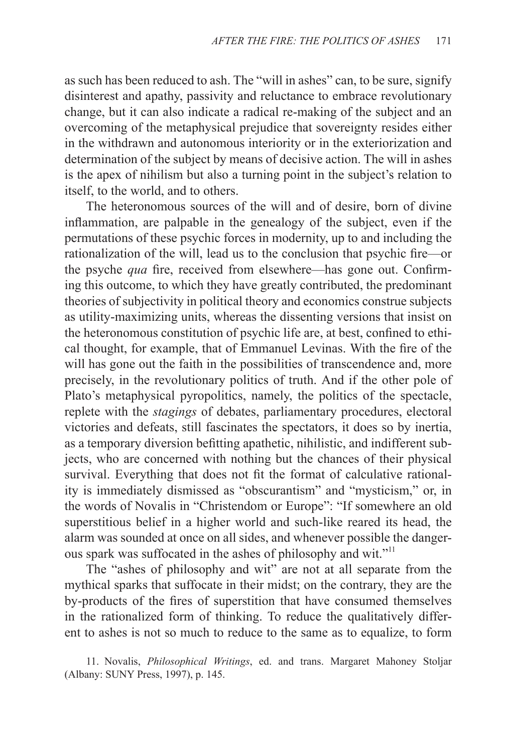as such has been reduced to ash. The "will in ashes" can, to be sure, signify disinterest and apathy, passivity and reluctance to embrace revolutionary change, but it can also indicate a radical re-making of the subject and an overcoming of the metaphysical prejudice that sovereignty resides either in the withdrawn and autonomous interiority or in the exteriorization and determination of the subject by means of decisive action. The will in ashes is the apex of nihilism but also a turning point in the subject's relation to itself, to the world, and to others.

The heteronomous sources of the will and of desire, born of divine inflammation, are palpable in the genealogy of the subject, even if the permutations of these psychic forces in modernity, up to and including the rationalization of the will, lead us to the conclusion that psychic fire—or the psyche *qua* fire, received from elsewhere—has gone out. Confirming this outcome, to which they have greatly contributed, the predominant theories of subjectivity in political theory and economics construe subjects as utility-maximizing units, whereas the dissenting versions that insist on the heteronomous constitution of psychic life are, at best, confined to ethical thought, for example, that of Emmanuel Levinas. With the fire of the will has gone out the faith in the possibilities of transcendence and, more precisely, in the revolutionary politics of truth. And if the other pole of Plato's metaphysical pyropolitics, namely, the politics of the spectacle, replete with the *stagings* of debates, parliamentary procedures, electoral victories and defeats, still fascinates the spectators, it does so by inertia, as a temporary diversion befitting apathetic, nihilistic, and indifferent subjects, who are concerned with nothing but the chances of their physical survival. Everything that does not fit the format of calculative rationality is immediately dismissed as "obscurantism" and "mysticism," or, in the words of Novalis in "Christendom or Europe": "If somewhere an old superstitious belief in a higher world and such-like reared its head, the alarm was sounded at once on all sides, and whenever possible the dangerous spark was suffocated in the ashes of philosophy and wit."<sup>11</sup>

The "ashes of philosophy and wit" are not at all separate from the mythical sparks that suffocate in their midst; on the contrary, they are the by-products of the fires of superstition that have consumed themselves in the rationalized form of thinking. To reduce the qualitatively different to ashes is not so much to reduce to the same as to equalize, to form

11. Novalis, *Philosophical Writings*, ed. and trans. Margaret Mahoney Stoljar (Albany: SUNY Press, 1997), p. 145.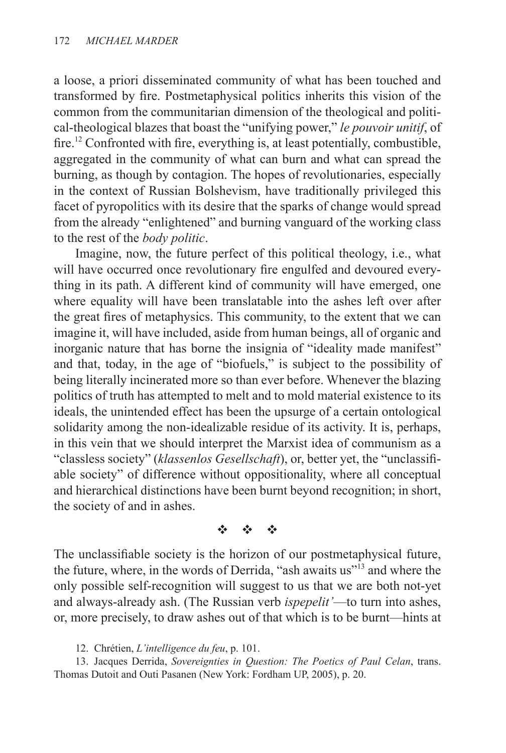a loose, a priori disseminated community of what has been touched and transformed by fire. Postmetaphysical politics inherits this vision of the common from the communitarian dimension of the theological and political-theological blazes that boast the "unifying power," *le pouvoir unitif*, of fire.<sup>12</sup> Confronted with fire, everything is, at least potentially, combustible, aggregated in the community of what can burn and what can spread the burning, as though by contagion. The hopes of revolutionaries, especially in the context of Russian Bolshevism, have traditionally privileged this facet of pyropolitics with its desire that the sparks of change would spread from the already "enlightened" and burning vanguard of the working class to the rest of the *body politic*.

Imagine, now, the future perfect of this political theology, i.e., what will have occurred once revolutionary fire engulfed and devoured everything in its path. A different kind of community will have emerged, one where equality will have been translatable into the ashes left over after the great fires of metaphysics. This community, to the extent that we can imagine it, will have included, aside from human beings, all of organic and inorganic nature that has borne the insignia of "ideality made manifest" and that, today, in the age of "biofuels," is subject to the possibility of being literally incinerated more so than ever before. Whenever the blazing politics of truth has attempted to melt and to mold material existence to its ideals, the unintended effect has been the upsurge of a certain ontological solidarity among the non-idealizable residue of its activity. It is, perhaps, in this vein that we should interpret the Marxist idea of communism as a "classless society" (*klassenlos Gesellschaft*), or, better yet, the "unclassifiable society" of difference without oppositionality, where all conceptual and hierarchical distinctions have been burnt beyond recognition; in short, the society of and in ashes.

#### v v v

The unclassifiable society is the horizon of our postmetaphysical future, the future, where, in the words of Derrida, "ash awaits us"<sup>13</sup> and where the only possible self-recognition will suggest to us that we are both not-yet and always-already ash. (The Russian verb *ispepelit'*—to turn into ashes, or, more precisely, to draw ashes out of that which is to be burnt—hints at

12. Chrétien, *L'intelligence du feu*, p. 101.

13. Jacques Derrida, *Sovereignties in Question: The Poetics of Paul Celan*, trans. Thomas Dutoit and Outi Pasanen (New York: Fordham UP, 2005), p. 20.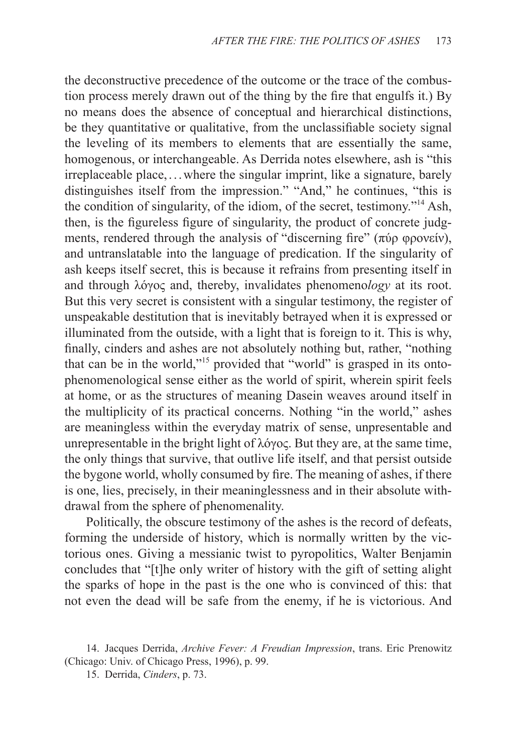the deconstructive precedence of the outcome or the trace of the combustion process merely drawn out of the thing by the fire that engulfs it.) By no means does the absence of conceptual and hierarchical distinctions, be they quantitative or qualitative, from the unclassifiable society signal the leveling of its members to elements that are essentially the same, homogenous, or interchangeable. As Derrida notes elsewhere, ash is "this irreplaceable place, ...where the singular imprint, like a signature, barely distinguishes itself from the impression." "And," he continues, "this is the condition of singularity, of the idiom, of the secret, testimony."<sup>14</sup> Ash, then, is the figureless figure of singularity, the product of concrete judgments, rendered through the analysis of "discerning fire" (πύρ φρονείν), and untranslatable into the language of predication. If the singularity of ash keeps itself secret, this is because it refrains from presenting itself in and through λόγος and, thereby, invalidates phenomeno*logy* at its root. But this very secret is consistent with a singular testimony, the register of unspeakable destitution that is inevitably betrayed when it is expressed or illuminated from the outside, with a light that is foreign to it. This is why, finally, cinders and ashes are not absolutely nothing but, rather, "nothing that can be in the world,"15 provided that "world" is grasped in its ontophenomenological sense either as the world of spirit, wherein spirit feels at home, or as the structures of meaning Dasein weaves around itself in the multiplicity of its practical concerns. Nothing "in the world," ashes are meaningless within the everyday matrix of sense, unpresentable and unrepresentable in the bright light of λόγος. But they are, at the same time, the only things that survive, that outlive life itself, and that persist outside the bygone world, wholly consumed by fire. The meaning of ashes, if there is one, lies, precisely, in their meaninglessness and in their absolute withdrawal from the sphere of phenomenality.

Politically, the obscure testimony of the ashes is the record of defeats, forming the underside of history, which is normally written by the victorious ones. Giving a messianic twist to pyropolitics, Walter Benjamin concludes that "[t]he only writer of history with the gift of setting alight the sparks of hope in the past is the one who is convinced of this: that not even the dead will be safe from the enemy, if he is victorious. And

<sup>14.</sup> Jacques Derrida, *Archive Fever: A Freudian Impression*, trans. Eric Prenowitz (Chicago: Univ. of Chicago Press, 1996), p. 99.

<sup>15.</sup> Derrida, *Cinders*, p. 73.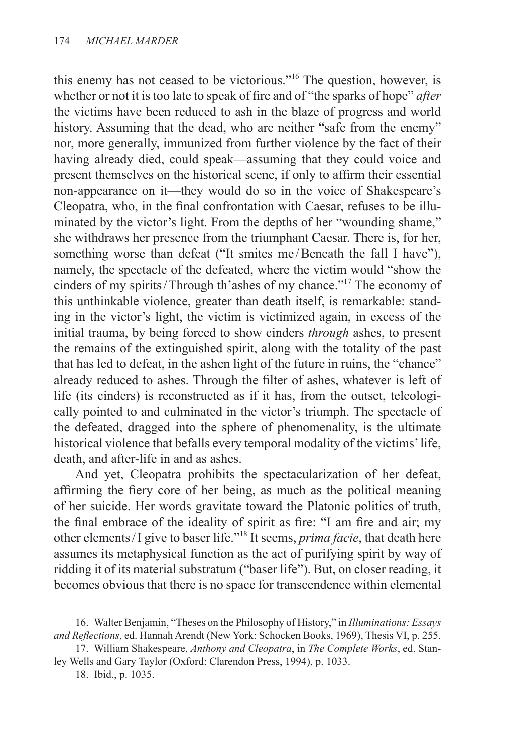this enemy has not ceased to be victorious."<sup>16</sup> The question, however, is whether or not it is too late to speak of fire and of "the sparks of hope" *after*  the victims have been reduced to ash in the blaze of progress and world history. Assuming that the dead, who are neither "safe from the enemy" nor, more generally, immunized from further violence by the fact of their having already died, could speak—assuming that they could voice and present themselves on the historical scene, if only to affirm their essential non-appearance on it—they would do so in the voice of Shakespeare's Cleopatra, who, in the final confrontation with Caesar, refuses to be illuminated by the victor's light. From the depths of her "wounding shame," she withdraws her presence from the triumphant Caesar. There is, for her, something worse than defeat ("It smites me/Beneath the fall I have"), namely, the spectacle of the defeated, where the victim would "show the cinders of my spirits/Through th'ashes of my chance."17 The economy of this unthinkable violence, greater than death itself, is remarkable: standing in the victor's light, the victim is victimized again, in excess of the initial trauma, by being forced to show cinders *through* ashes, to present the remains of the extinguished spirit, along with the totality of the past that has led to defeat, in the ashen light of the future in ruins, the "chance" already reduced to ashes. Through the filter of ashes, whatever is left of life (its cinders) is reconstructed as if it has, from the outset, teleologically pointed to and culminated in the victor's triumph. The spectacle of the defeated, dragged into the sphere of phenomenality, is the ultimate historical violence that befalls every temporal modality of the victims' life, death, and after-life in and as ashes.

And yet, Cleopatra prohibits the spectacularization of her defeat, affirming the fiery core of her being, as much as the political meaning of her suicide. Her words gravitate toward the Platonic politics of truth, the final embrace of the ideality of spirit as fire: "I am fire and air; my other elements/I give to baser life."18 It seems, *prima facie*, that death here assumes its metaphysical function as the act of purifying spirit by way of ridding it of its material substratum ("baser life"). But, on closer reading, it becomes obvious that there is no space for transcendence within elemental

17. William Shakespeare, *Anthony and Cleopatra*, in *The Complete Works*, ed. Stanley Wells and Gary Taylor (Oxford: Clarendon Press, 1994), p. 1033.

18. Ibid., p. 1035.

<sup>16.</sup> Walter Benjamin, "Theses on the Philosophy of History," in *Illuminations: Essays and Reflections*, ed. Hannah Arendt (New York: Schocken Books, 1969), Thesis VI, p. 255.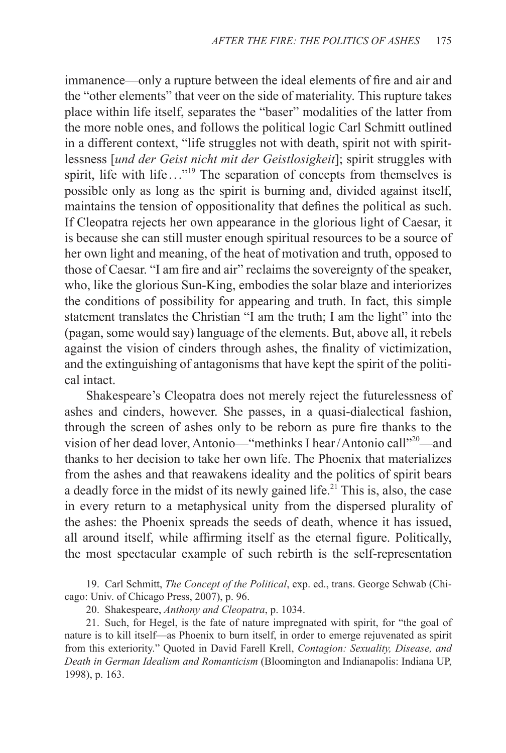immanence—only a rupture between the ideal elements of fire and air and the "other elements" that veer on the side of materiality. This rupture takes place within life itself, separates the "baser" modalities of the latter from the more noble ones, and follows the political logic Carl Schmitt outlined in a different context, "life struggles not with death, spirit not with spiritlessness [*und der Geist nicht mit der Geistlosigkeit*]; spirit struggles with spirit, life with life ..."<sup>19</sup> The separation of concepts from themselves is possible only as long as the spirit is burning and, divided against itself, maintains the tension of oppositionality that defines the political as such. If Cleopatra rejects her own appearance in the glorious light of Caesar, it is because she can still muster enough spiritual resources to be a source of her own light and meaning, of the heat of motivation and truth, opposed to those of Caesar. "I am fire and air" reclaims the sovereignty of the speaker, who, like the glorious Sun-King, embodies the solar blaze and interiorizes the conditions of possibility for appearing and truth. In fact, this simple statement translates the Christian "I am the truth; I am the light" into the (pagan, some would say) language of the elements. But, above all, it rebels against the vision of cinders through ashes, the finality of victimization, and the extinguishing of antagonisms that have kept the spirit of the political intact.

Shakespeare's Cleopatra does not merely reject the futurelessness of ashes and cinders, however. She passes, in a quasi-dialectical fashion, through the screen of ashes only to be reborn as pure fire thanks to the vision of her dead lover, Antonio—"methinks I hear/Antonio call"20—and thanks to her decision to take her own life. The Phoenix that materializes from the ashes and that reawakens ideality and the politics of spirit bears a deadly force in the midst of its newly gained life.<sup>21</sup> This is, also, the case in every return to a metaphysical unity from the dispersed plurality of the ashes: the Phoenix spreads the seeds of death, whence it has issued, all around itself, while affirming itself as the eternal figure. Politically, the most spectacular example of such rebirth is the self-representation

19. Carl Schmitt, *The Concept of the Political*, exp. ed., trans. George Schwab (Chicago: Univ. of Chicago Press, 2007), p. 96.

20. Shakespeare, *Anthony and Cleopatra*, p. 1034.

21. Such, for Hegel, is the fate of nature impregnated with spirit, for "the goal of nature is to kill itself—as Phoenix to burn itself, in order to emerge rejuvenated as spirit from this exteriority." Quoted in David Farell Krell, *Contagion: Sexuality, Disease, and Death in German Idealism and Romanticism* (Bloomington and Indianapolis: Indiana UP, 1998), p. 163.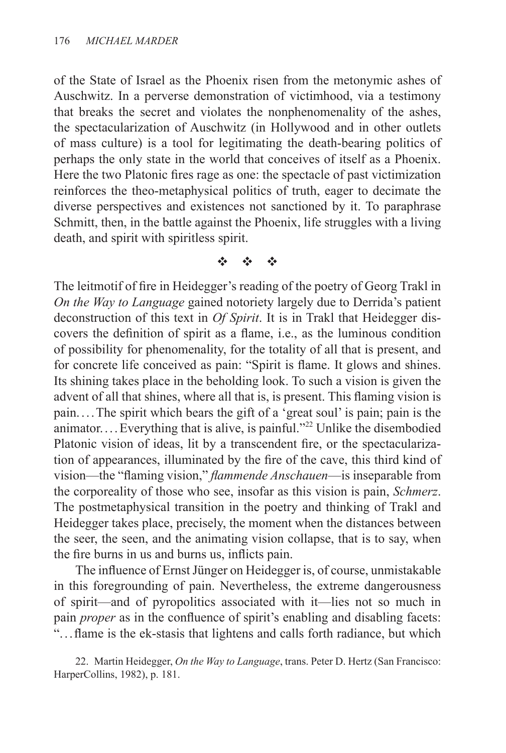of the State of Israel as the Phoenix risen from the metonymic ashes of Auschwitz. In a perverse demonstration of victimhood, via a testimony that breaks the secret and violates the nonphenomenality of the ashes, the spectacularization of Auschwitz (in Hollywood and in other outlets of mass culture) is a tool for legitimating the death-bearing politics of perhaps the only state in the world that conceives of itself as a Phoenix. Here the two Platonic fires rage as one: the spectacle of past victimization reinforces the theo-metaphysical politics of truth, eager to decimate the diverse perspectives and existences not sanctioned by it. To paraphrase Schmitt, then, in the battle against the Phoenix, life struggles with a living death, and spirit with spiritless spirit.

#### $\psi = \psi = \psi$

The leitmotif of fire in Heidegger's reading of the poetry of Georg Trakl in *On the Way to Language* gained notoriety largely due to Derrida's patient deconstruction of this text in *Of Spirit*. It is in Trakl that Heidegger discovers the definition of spirit as a flame, i.e., as the luminous condition of possibility for phenomenality, for the totality of all that is present, and for concrete life conceived as pain: "Spirit is flame. It glows and shines. Its shining takes place in the beholding look. To such a vision is given the advent of all that shines, where all that is, is present. This flaming vision is pain. . . .The spirit which bears the gift of a 'great soul' is pain; pain is the animator... . Everything that is alive, is painful."<sup>22</sup> Unlike the disembodied Platonic vision of ideas, lit by a transcendent fire, or the spectacularization of appearances, illuminated by the fire of the cave, this third kind of vision—the "flaming vision," *flammende Anschauen*—is inseparable from the corporeality of those who see, insofar as this vision is pain, *Schmerz*. The postmetaphysical transition in the poetry and thinking of Trakl and Heidegger takes place, precisely, the moment when the distances between the seer, the seen, and the animating vision collapse, that is to say, when the fire burns in us and burns us, inflicts pain.

The influence of Ernst Jünger on Heidegger is, of course, unmistakable in this foregrounding of pain. Nevertheless, the extreme dangerousness of spirit—and of pyropolitics associated with it—lies not so much in pain *proper* as in the confluence of spirit's enabling and disabling facets: "...flame is the ek-stasis that lightens and calls forth radiance, but which

22. Martin Heidegger, *On the Way to Language*, trans. Peter D. Hertz (San Francisco: HarperCollins, 1982), p. 181.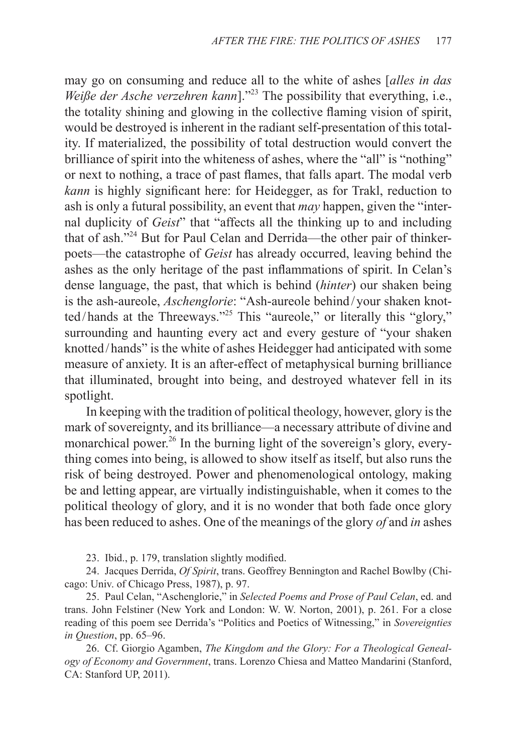may go on consuming and reduce all to the white of ashes [*alles in das Weiße der Asche verzehren kann*]."<sup>23</sup> The possibility that everything, i.e., the totality shining and glowing in the collective flaming vision of spirit, would be destroyed is inherent in the radiant self-presentation of this totality. If materialized, the possibility of total destruction would convert the brilliance of spirit into the whiteness of ashes, where the "all" is "nothing" or next to nothing, a trace of past flames, that falls apart. The modal verb *kann* is highly significant here: for Heidegger, as for Trakl, reduction to ash is only a futural possibility, an event that *may* happen, given the "internal duplicity of *Geist*" that "affects all the thinking up to and including that of ash."24 But for Paul Celan and Derrida—the other pair of thinkerpoets—the catastrophe of *Geist* has already occurred, leaving behind the ashes as the only heritage of the past inflammations of spirit. In Celan's dense language, the past, that which is behind (*hinter*) our shaken being is the ash-aureole, *Aschenglorie*: "Ash-aureole behind /your shaken knotted /hands at the Threeways."25 This "aureole," or literally this "glory," surrounding and haunting every act and every gesture of "your shaken knotted/ hands" is the white of ashes Heidegger had anticipated with some measure of anxiety. It is an after-effect of metaphysical burning brilliance that illuminated, brought into being, and destroyed whatever fell in its spotlight.

In keeping with the tradition of political theology, however, glory is the mark of sovereignty, and its brilliance—a necessary attribute of divine and monarchical power.<sup>26</sup> In the burning light of the sovereign's glory, everything comes into being, is allowed to show itself as itself, but also runs the risk of being destroyed. Power and phenomenological ontology, making be and letting appear, are virtually indistinguishable, when it comes to the political theology of glory, and it is no wonder that both fade once glory has been reduced to ashes. One of the meanings of the glory *of* and *in* ashes

23. Ibid., p. 179, translation slightly modified.

24. Jacques Derrida, *Of Spirit*, trans. Geoffrey Bennington and Rachel Bowlby (Chicago: Univ. of Chicago Press, 1987), p. 97.

25. Paul Celan, "Aschenglorie," in *Selected Poems and Prose of Paul Celan*, ed. and trans. John Felstiner (New York and London: W. W. Norton, 2001), p. 261. For a close reading of this poem see Derrida's "Politics and Poetics of Witnessing," in *Sovereignties in Question*, pp. 65–96.

26. Cf. Giorgio Agamben, *The Kingdom and the Glory: For a Theological Genealogy of Economy and Government*, trans. Lorenzo Chiesa and Matteo Mandarini (Stanford, CA: Stanford UP, 2011).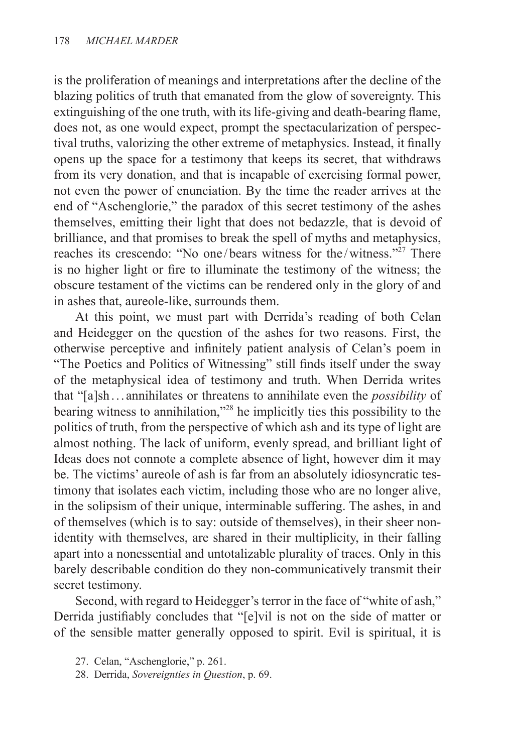is the proliferation of meanings and interpretations after the decline of the blazing politics of truth that emanated from the glow of sovereignty. This extinguishing of the one truth, with its life-giving and death-bearing flame, does not, as one would expect, prompt the spectacularization of perspectival truths, valorizing the other extreme of metaphysics. Instead, it finally opens up the space for a testimony that keeps its secret, that withdraws from its very donation, and that is incapable of exercising formal power, not even the power of enunciation. By the time the reader arrives at the end of "Aschenglorie," the paradox of this secret testimony of the ashes themselves, emitting their light that does not bedazzle, that is devoid of brilliance, and that promises to break the spell of myths and metaphysics, reaches its crescendo: "No one/bears witness for the/witness."<sup>27</sup> There is no higher light or fire to illuminate the testimony of the witness; the obscure testament of the victims can be rendered only in the glory of and in ashes that, aureole-like, surrounds them.

At this point, we must part with Derrida's reading of both Celan and Heidegger on the question of the ashes for two reasons. First, the otherwise perceptive and infinitely patient analysis of Celan's poem in "The Poetics and Politics of Witnessing" still finds itself under the sway of the metaphysical idea of testimony and truth. When Derrida writes that "[a]sh... annihilates or threatens to annihilate even the *possibility* of bearing witness to annihilation,"28 he implicitly ties this possibility to the politics of truth, from the perspective of which ash and its type of light are almost nothing. The lack of uniform, evenly spread, and brilliant light of Ideas does not connote a complete absence of light, however dim it may be. The victims' aureole of ash is far from an absolutely idiosyncratic testimony that isolates each victim, including those who are no longer alive, in the solipsism of their unique, interminable suffering. The ashes, in and of themselves (which is to say: outside of themselves), in their sheer nonidentity with themselves, are shared in their multiplicity, in their falling apart into a nonessential and untotalizable plurality of traces. Only in this barely describable condition do they non-communicatively transmit their secret testimony.

Second, with regard to Heidegger's terror in the face of "white of ash," Derrida justifiably concludes that "[e]vil is not on the side of matter or of the sensible matter generally opposed to spirit. Evil is spiritual, it is

- 27. Celan, "Aschenglorie," p. 261.
- 28. Derrida, *Sovereignties in Question*, p. 69.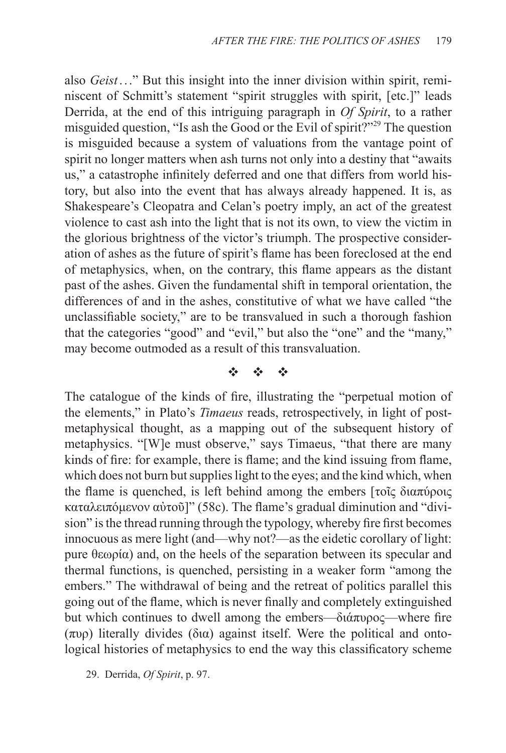also *Geist*..." But this insight into the inner division within spirit, reminiscent of Schmitt's statement "spirit struggles with spirit, [etc.]" leads Derrida, at the end of this intriguing paragraph in *Of Spirit*, to a rather misguided question, "Is ash the Good or the Evil of spirit?"<sup>29</sup> The question is misguided because a system of valuations from the vantage point of spirit no longer matters when ash turns not only into a destiny that "awaits us," a catastrophe infinitely deferred and one that differs from world history, but also into the event that has always already happened. It is, as Shakespeare's Cleopatra and Celan's poetry imply, an act of the greatest violence to cast ash into the light that is not its own, to view the victim in the glorious brightness of the victor's triumph. The prospective consideration of ashes as the future of spirit's flame has been foreclosed at the end of metaphysics, when, on the contrary, this flame appears as the distant past of the ashes. Given the fundamental shift in temporal orientation, the differences of and in the ashes, constitutive of what we have called "the unclassifiable society," are to be transvalued in such a thorough fashion that the categories "good" and "evil," but also the "one" and the "many," may become outmoded as a result of this transvaluation.

#### v v v

The catalogue of the kinds of fire, illustrating the "perpetual motion of the elements," in Plato's *Timaeus* reads, retrospectively, in light of postmetaphysical thought, as a mapping out of the subsequent history of metaphysics. "[W]e must observe," says Timaeus, "that there are many kinds of fire: for example, there is flame; and the kind issuing from flame, which does not burn but supplies light to the eyes; and the kind which, when the flame is quenched, is left behind among the embers [τοῖς διαπύροις καταλειπόμενον αὐτοῦ]" (58c). The flame's gradual diminution and "division" is the thread running through the typology, whereby fire first becomes innocuous as mere light (and—why not?—as the eidetic corollary of light: pure θεωρία) and, on the heels of the separation between its specular and thermal functions, is quenched, persisting in a weaker form "among the embers." The withdrawal of being and the retreat of politics parallel this going out of the flame, which is never finally and completely extinguished but which continues to dwell among the embers—διάπυρος—where fire (πυρ) literally divides (δια) against itself. Were the political and ontological histories of metaphysics to end the way this classificatory scheme

29. Derrida, *Of Spirit*, p. 97.